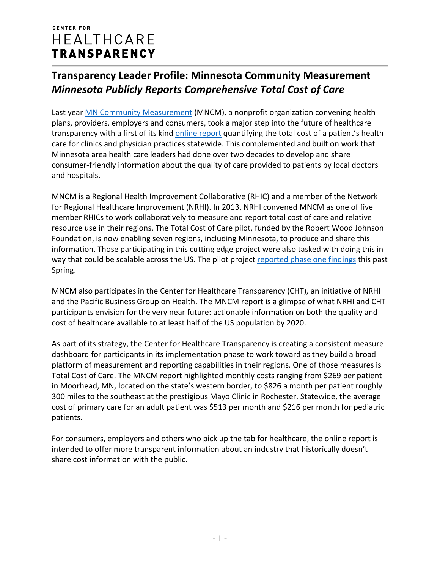### **CENTER FOR** HEALTHCARE **TRANSPARENCY**

# **Transparency Leader Profile: Minnesota Community Measurement** *Minnesota Publicly Reports Comprehensive Total Cost of Care*

Last year **MN Community Measurement** (MNCM), a nonprofit organization convening health plans, providers, employers and consumers, took a major step into the future of healthcare transparency with a first of its kind [online report](http://www.mnhealthscores.org/medical-group-measure-detail/overall/%23/results) quantifying the total cost of a patient's health care for clinics and physician practices statewide. This complemented and built on work that Minnesota area health care leaders had done over two decades to develop and share consumer-friendly information about the quality of care provided to patients by local doctors and hospitals.

MNCM is a Regional Health Improvement Collaborative (RHIC) and a member of the Network for Regional Healthcare Improvement (NRHI). In 2013, NRHI convened MNCM as one of five member RHICs to work collaboratively to measure and report total cost of care and relative resource use in their regions. The Total Cost of Care pilot, funded by the Robert Wood Johnson Foundation, is now enabling seven regions, including Minnesota, to produce and share this information. Those participating in this cutting edge project were also tasked with doing this in way that could be scalable across the US. The pilot project [reported phase one findings](http://www.nrhi.org/uploads/nrhi_pilot-summary_april_30_2015.pdf) this past Spring.

MNCM also participates in the Center for Healthcare Transparency (CHT), an initiative of NRHI and the Pacific Business Group on Health. The MNCM report is a glimpse of what NRHI and CHT participants envision for the very near future: actionable information on both the quality and cost of healthcare available to at least half of the US population by 2020.

As part of its strategy, the Center for Healthcare Transparency is creating a consistent measure dashboard for participants in its implementation phase to work toward as they build a broad platform of measurement and reporting capabilities in their regions. One of those measures is Total Cost of Care. The MNCM report highlighted monthly costs ranging from \$269 per patient in Moorhead, MN, located on the state's western border, to \$826 a month per patient roughly 300 miles to the southeast at the prestigious Mayo Clinic in Rochester. Statewide, the average cost of primary care for an adult patient was \$513 per month and \$216 per month for pediatric patients.

For consumers, employers and others who pick up the tab for healthcare, the online report is intended to offer more transparent information about an industry that historically doesn't share cost information with the public.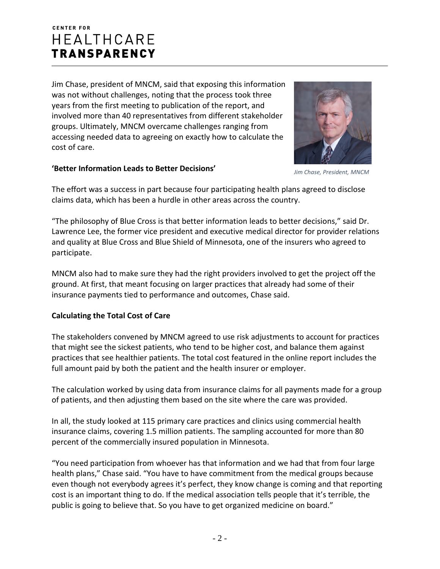## **CENTER FOR HEALTHCARE TRANSPARENCY**

Jim Chase, president of MNCM, said that exposing this information was not without challenges, noting that the process took three years from the first meeting to publication of the report, and involved more than 40 representatives from different stakeholder groups. Ultimately, MNCM overcame challenges ranging from accessing needed data to agreeing on exactly how to calculate the cost of care.



#### **'Better Information Leads to Better Decisions'**

*Jim Chase, President, MNCM*

The effort was a success in part because four participating health plans agreed to disclose claims data, which has been a hurdle in other areas across the country.

"The philosophy of Blue Cross is that better information leads to better decisions," said Dr. Lawrence Lee, the former vice president and executive medical director for provider relations and quality at Blue Cross and Blue Shield of Minnesota, one of the insurers who agreed to participate.

MNCM also had to make sure they had the right providers involved to get the project off the ground. At first, that meant focusing on larger practices that already had some of their insurance payments tied to performance and outcomes, Chase said.

### **Calculating the Total Cost of Care**

The stakeholders convened by MNCM agreed to use risk adjustments to account for practices that might see the sickest patients, who tend to be higher cost, and balance them against practices that see healthier patients. The total cost featured in the online report includes the full amount paid by both the patient and the health insurer or employer.

The calculation worked by using data from insurance claims for all payments made for a group of patients, and then adjusting them based on the site where the care was provided.

In all, the study looked at 115 primary care practices and clinics using commercial health insurance claims, covering 1.5 million patients. The sampling accounted for more than 80 percent of the commercially insured population in Minnesota.

"You need participation from whoever has that information and we had that from four large health plans," Chase said. "You have to have commitment from the medical groups because even though not everybody agrees it's perfect, they know change is coming and that reporting cost is an important thing to do. If the medical association tells people that it's terrible, the public is going to believe that. So you have to get organized medicine on board."